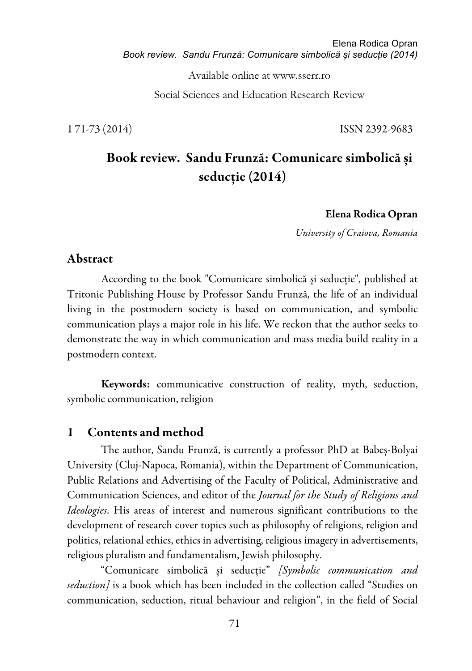Available online at www.sserr.ro

Social Sciences and Education Research Review

1 71-73 (2014) ISSN 2392-9683

# Book review. Sandu Frunză: Comunicare simbolică și seducție (2014)

Elena Rodica Opran

*University of Craiova, Romania*

#### Abstract

According to the book "Comunicare simbolică și seducție", published at Tritonic Publishing House by Professor Sandu Frunză, the life of an individual living in the postmodern society is based on communication, and symbolic communication plays a major role in his life. We reckon that the author seeks to demonstrate the way in which communication and mass media build reality in a postmodern context.

Keywords: communicative construction of reality, myth, seduction, symbolic communication, religion

#### 1 Contents and method

The author, Sandu Frunză, is currently a professor PhD at Babeș-Bolyai University (Cluj-Napoca, Romania), within the Department of Communication, Public Relations and Advertising of the Faculty of Political, Administrative and Communication Sciences, and editor of the *Journal for the Study of Religions and Ideologies*. His areas of interest and numerous significant contributions to the development of research cover topics such as philosophy of religions, religion and politics, relational ethics, ethics in advertising, religious imagery in advertisements, religious pluralism and fundamentalism, Jewish philosophy.

"Comunicare simbolică și seducție" *[Symbolic communication and seduction]* is a book which has been included in the collection called "Studies on communication, seduction, ritual behaviour and religion", in the field of Social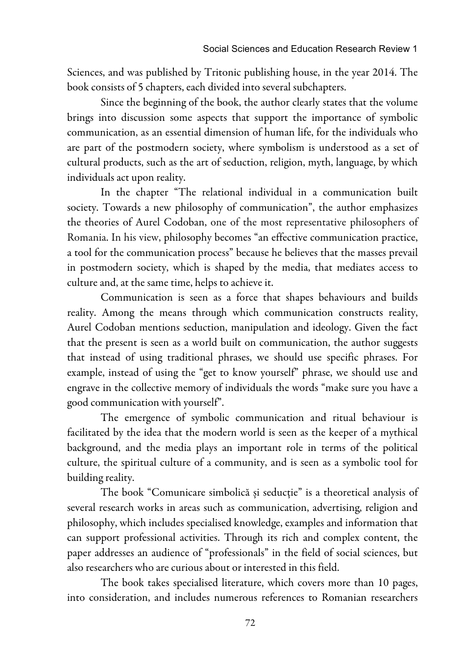Sciences, and was published by Tritonic publishing house, in the year 2014. The book consists of 5 chapters, each divided into several subchapters.

Since the beginning of the book, the author clearly states that the volume brings into discussion some aspects that support the importance of symbolic communication, as an essential dimension of human life, for the individuals who are part of the postmodern society, where symbolism is understood as a set of cultural products, such as the art of seduction, religion, myth, language, by which individuals act upon reality.

In the chapter "The relational individual in a communication built society. Towards a new philosophy of communication", the author emphasizes the theories of Aurel Codoban, one of the most representative philosophers of Romania. In his view, philosophy becomes "an effective communication practice, a tool for the communication process" because he believes that the masses prevail in postmodern society, which is shaped by the media, that mediates access to culture and, at the same time, helps to achieve it.

Communication is seen as a force that shapes behaviours and builds reality. Among the means through which communication constructs reality, Aurel Codoban mentions seduction, manipulation and ideology. Given the fact that the present is seen as a world built on communication, the author suggests that instead of using traditional phrases, we should use specific phrases. For example, instead of using the "get to know yourself" phrase, we should use and engrave in the collective memory of individuals the words "make sure you have a good communication with yourself".

The emergence of symbolic communication and ritual behaviour is facilitated by the idea that the modern world is seen as the keeper of a mythical background, and the media plays an important role in terms of the political culture, the spiritual culture of a community, and is seen as a symbolic tool for building reality.

The book "Comunicare simbolică și seducție" is a theoretical analysis of several research works in areas such as communication, advertising, religion and philosophy, which includes specialised knowledge, examples and information that can support professional activities. Through its rich and complex content, the paper addresses an audience of "professionals" in the field of social sciences, but also researchers who are curious about or interested in this field.

The book takes specialised literature, which covers more than 10 pages, into consideration, and includes numerous references to Romanian researchers